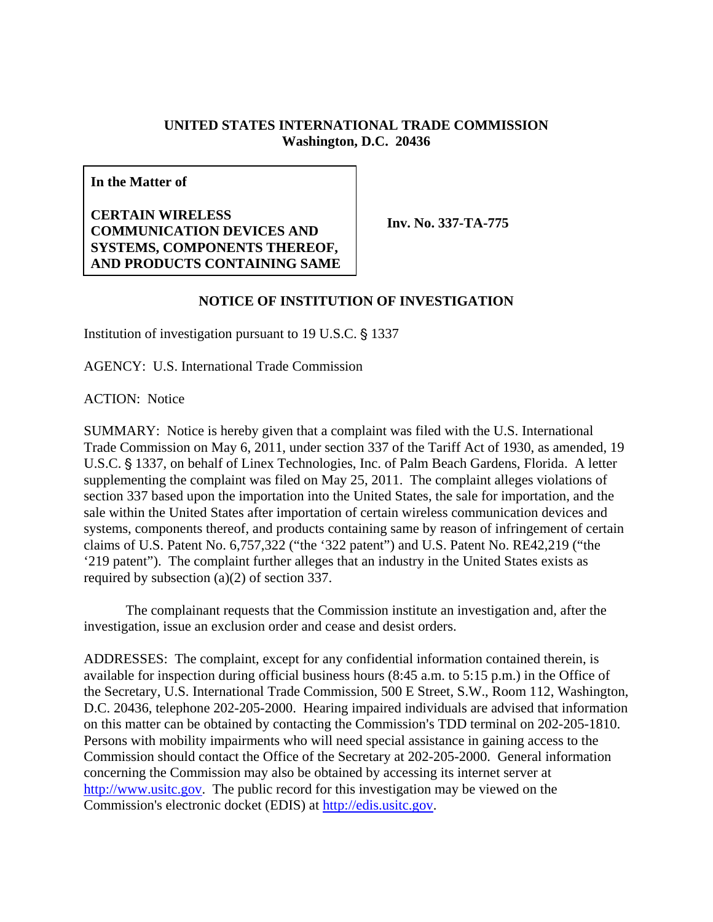## **UNITED STATES INTERNATIONAL TRADE COMMISSION Washington, D.C. 20436**

**In the Matter of** 

**CERTAIN WIRELESS COMMUNICATION DEVICES AND SYSTEMS, COMPONENTS THEREOF, AND PRODUCTS CONTAINING SAME** 

**Inv. No. 337-TA-775** 

## **NOTICE OF INSTITUTION OF INVESTIGATION**

Institution of investigation pursuant to  $19$  U.S.C.  $\S$  1337

AGENCY: U.S. International Trade Commission

ACTION: Notice

SUMMARY: Notice is hereby given that a complaint was filed with the U.S. International Trade Commission on May 6, 2011, under section 337 of the Tariff Act of 1930, as amended, 19 U.S.C. § 1337, on behalf of Linex Technologies, Inc. of Palm Beach Gardens, Florida. A letter supplementing the complaint was filed on May 25, 2011. The complaint alleges violations of section 337 based upon the importation into the United States, the sale for importation, and the sale within the United States after importation of certain wireless communication devices and systems, components thereof, and products containing same by reason of infringement of certain claims of U.S. Patent No. 6,757,322 ("the '322 patent") and U.S. Patent No. RE42,219 ("the '219 patent"). The complaint further alleges that an industry in the United States exists as required by subsection (a)(2) of section 337.

The complainant requests that the Commission institute an investigation and, after the investigation, issue an exclusion order and cease and desist orders.

ADDRESSES: The complaint, except for any confidential information contained therein, is available for inspection during official business hours (8:45 a.m. to 5:15 p.m.) in the Office of the Secretary, U.S. International Trade Commission, 500 E Street, S.W., Room 112, Washington, D.C. 20436, telephone 202-205-2000. Hearing impaired individuals are advised that information on this matter can be obtained by contacting the Commission's TDD terminal on 202-205-1810. Persons with mobility impairments who will need special assistance in gaining access to the Commission should contact the Office of the Secretary at 202-205-2000. General information concerning the Commission may also be obtained by accessing its internet server at http://www.usitc.gov. The public record for this investigation may be viewed on the Commission's electronic docket (EDIS) at http://edis.usitc.gov.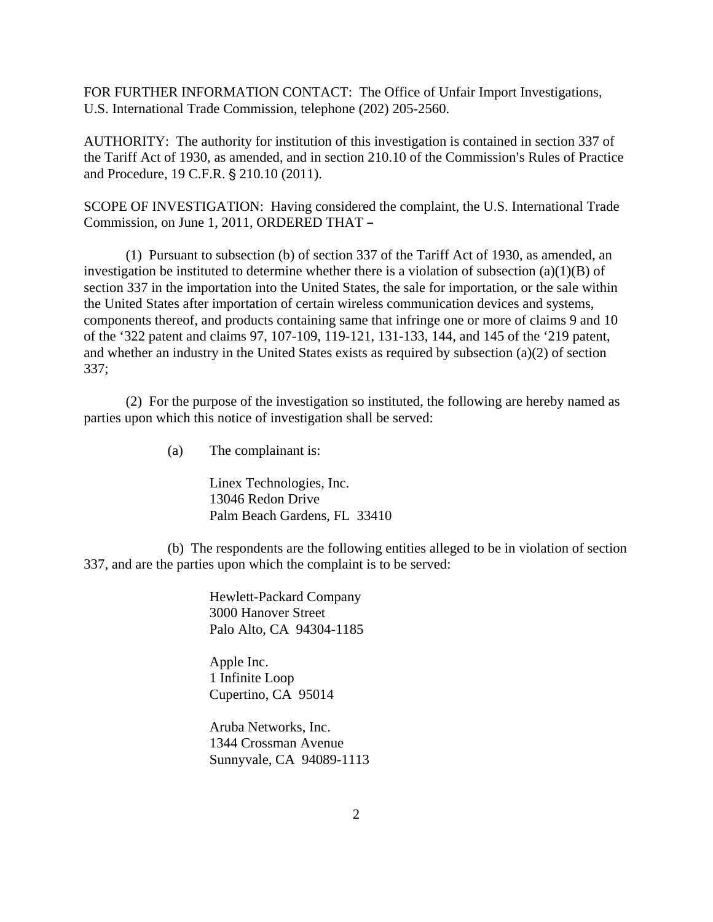FOR FURTHER INFORMATION CONTACT: The Office of Unfair Import Investigations, U.S. International Trade Commission, telephone (202) 205-2560.

AUTHORITY: The authority for institution of this investigation is contained in section 337 of the Tariff Act of 1930, as amended, and in section 210.10 of the Commission's Rules of Practice and Procedure, 19 C.F.R. § 210.10 (2011).

SCOPE OF INVESTIGATION: Having considered the complaint, the U.S. International Trade Commission, on June 1, 2011, ORDERED THAT -

(1) Pursuant to subsection (b) of section 337 of the Tariff Act of 1930, as amended, an investigation be instituted to determine whether there is a violation of subsection (a)(1)(B) of section 337 in the importation into the United States, the sale for importation, or the sale within the United States after importation of certain wireless communication devices and systems, components thereof, and products containing same that infringe one or more of claims 9 and 10 of the '322 patent and claims 97, 107-109, 119-121, 131-133, 144, and 145 of the '219 patent, and whether an industry in the United States exists as required by subsection (a)(2) of section 337;

(2) For the purpose of the investigation so instituted, the following are hereby named as parties upon which this notice of investigation shall be served:

(a) The complainant is:

Linex Technologies, Inc. 13046 Redon Drive Palm Beach Gardens, FL 33410

(b) The respondents are the following entities alleged to be in violation of section 337, and are the parties upon which the complaint is to be served:

> Hewlett-Packard Company 3000 Hanover Street Palo Alto, CA 94304-1185

Apple Inc. 1 Infinite Loop Cupertino, CA 95014

Aruba Networks, Inc. 1344 Crossman Avenue Sunnyvale, CA 94089-1113